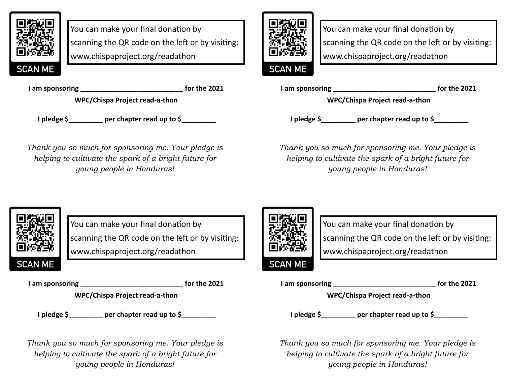

You can make your final donation by scanning the QR code on the left or by visiting: www.chispaproject.org/readathon

**I am sponsoring \_\_\_\_\_\_\_\_\_\_\_\_\_\_\_\_\_\_\_\_\_\_\_\_\_\_\_ for the 2021** 

**WPC/Chispa Project read-a-thon**

**I pledge \$\_\_\_\_\_\_\_\_\_ per chapter read up to \$\_\_\_\_\_\_\_\_\_**

*Thank you so much for sponsoring me. Your pledge is helping to cultivate the spark of a bright future for young people in Honduras!* 

**SCAN ME** 

You can make your final donation by scanning the QR code on the left or by visiting: www.chispaproject.org/readathon

**I am sponsoring \_\_\_\_\_\_\_\_\_\_\_\_\_\_\_\_\_\_\_\_\_\_\_\_\_\_\_ for the 2021** 

**WPC/Chispa Project read-a-thon**

**I pledge \$\_\_\_\_\_\_\_\_\_ per chapter read up to \$\_\_\_\_\_\_\_\_\_**

*Thank you so much for sponsoring me. Your pledge is helping to cultivate the spark of a bright future for young people in Honduras!* 



You can make your final donation by scanning the QR code on the left or by visiting: www.chispaproject.org/readathon

**I am sponsoring \_\_\_\_\_\_\_\_\_\_\_\_\_\_\_\_\_\_\_\_\_\_\_\_\_\_\_ for the 2021** 

**WPC/Chispa Project read-a-thon**

**I** pledge \$ per chapter read up to \$

*Thank you so much for sponsoring me. Your pledge is helping to cultivate the spark of a bright future for young people in Honduras!* 



You can make your final donation by scanning the QR code on the left or by visiting: www.chispaproject.org/readathon

**I am sponsoring \_\_\_\_\_\_\_\_\_\_\_\_\_\_\_\_\_\_\_\_\_\_\_\_\_\_\_ for the 2021** 

**WPC/Chispa Project read-a-thon**

**I** pledge \$ per chapter read up to \$

*Thank you so much for sponsoring me. Your pledge is helping to cultivate the spark of a bright future for young people in Honduras!*